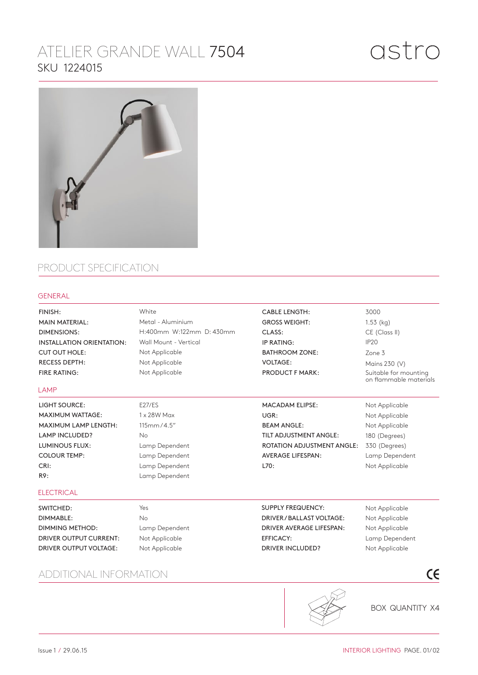## ATELIER GRANDE WALL 7504 SKU 1224015



## PRODUCT SPECIFICATION

## GENERAL

White FINISH: CABLE LENGTH: 3000 MAIN MATERIAL: Metal - Aluminium GROSS WEIGHT: 1.53 (kg) H:400mm W:122mm D: 430mm DIMENSIONS: CE (Class II) CLASS: INSTALLATION ORIENTATION: Wall Mount - Vertical IP20 IP RATING: CUT OUT HOLE: Not Applicable BATHROOM ZONE: Zone 3 RECESS DEPTH: Not Applicable VOLTAGE: Mains 230 (V) FIRE RATING: Not Applicable PRODUCT F MARK: Suitable for mounting on flammable materials LAMP LIGHT SOURCE: E27/ES MACADAM ELIPSE: Not Applicable MAXIMUM WATTAGE: 1 x 28W Max UGR: Not Applicable MAXIMUM LAMP LENGTH: 115mm / 4.5" BEAM ANGLE: Not Applicable LAMP INCLUDED? TILT ADJUSTMENT ANGLE: No 180 (Degrees) LUMINOUS FLUX: Lamp Dependent ROTATION ADJUSTMENT ANGLE: 330 (Degrees) COLOUR TEMP: Lamp Dependent AVERAGE LIFESPAN: Lamp Dependent Lamp Dependent CRI: L70: Not Applicable R9: Lamp Dependent **ELECTRICAL** SWITCHED: Yes SUPPLY FREQUENCY: Not Applicable DIMMABLE: No DRIVER / BALLAST VOLTAGE: Not Applicable DRIVER AVERAGE LIFESPAN: DIMMING METHOD: Lamp Dependent Not Applicable DRIVER OUTPUT CURRENT: Not Applicable EFFICACY: Lamp Dependent DRIVER OUTPUT VOLTAGE: DRIVER INCLUDED? Not Applicable Not Applicable  $\epsilon$ ADDITIONAL INFORMATION



**BOX QUANTITY X4**